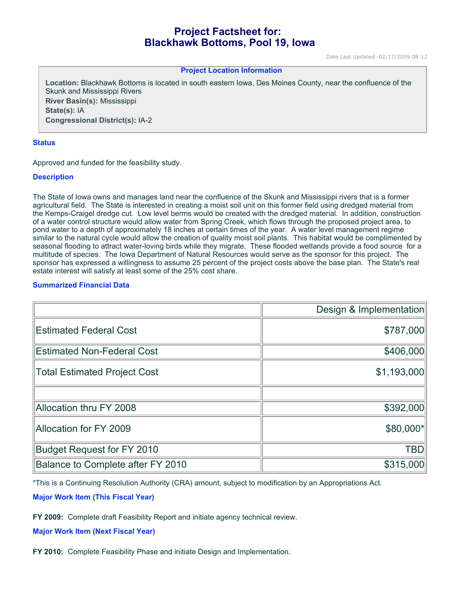# **Project Factsheet for: Blackhawk Bottoms, Pool 19, Iowa**

Date Last Updated: 02/17/2009 08:12

#### **Project Location Information**

**Location:** Blackhawk Bottoms is located in south eastern Iowa, Des Moines County, near the confluence of the Skunk and Mississippi Rivers **River Basin(s):** Mississippi **State(s):** IA **Congressional District(s):** IA-2

### **Status**

Approved and funded for the feasibility study.

### **Description**

The State of Iowa owns and manages land near the confluence of the Skunk and Mississippi rivers that is a former agricultural field. The State is interested in creating a moist soil unit on this former field using dredged material from the Kemps-Craigel dredge cut. Low level berms would be created with the dredged material. In addition, construction of a water control structure would allow water from Spring Creek, which flows through the proposed project area, to pond water to a depth of approximately 18 inches at certain times of the year. A water level management regime similar to the natural cycle would allow the creation of quality moist soil plants. This habitat would be complimented by seasonal flooding to attract water-loving birds while they migrate. These flooded wetlands provide a food source for a multitude of species. The Iowa Department of Natural Resources would serve as the sponsor for this project. The sponsor has expressed a willingness to assume 25 percent of the project costs above the base plan. The State's real estate interest will satisfy at least some of the 25% cost share.

## **Summarized Financial Data**

|                                     | Design & Implementation |
|-------------------------------------|-------------------------|
| <b>Estimated Federal Cost</b>       | \$787,000               |
| <b>Estimated Non-Federal Cost</b>   | \$406,000               |
| <b>Total Estimated Project Cost</b> | \$1,193,000             |
|                                     |                         |
| Allocation thru FY 2008             | \$392,000               |
| Allocation for FY 2009              | \$80,000*               |
| <b>Budget Request for FY 2010</b>   | <b>TBD</b>              |
| Balance to Complete after FY 2010   | \$315,000               |

\*This is a Continuing Resolution Authority (CRA) amount, subject to modification by an Appropriations Act.

**Major Work Item (This Fiscal Year)**

**FY 2009:** Complete draft Feasibility Report and initiate agency technical review.

#### **Major Work Item (Next Fiscal Year)**

**FY 2010:** Complete Feasibility Phase and initiate Design and Implementation.